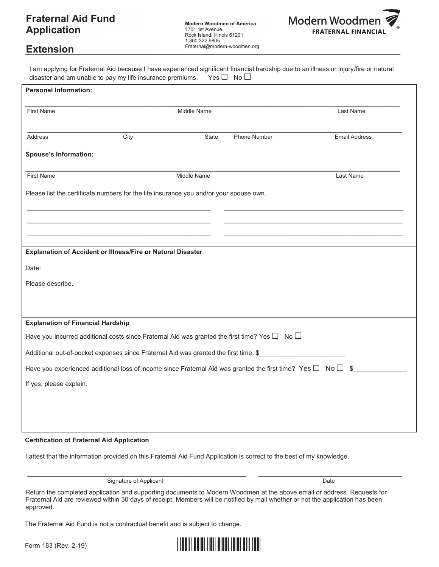# **Fraternal Aid Fund Application**

**Modern Woodmen of America**  1701 1st Avenue Rock Island, Illinois 61201 1.800.322.9805 Fraternal@modern-woodmen.org



### **Extension**

| <b>Personal Information:</b>             |                                                                                                                        |             |              |                      |
|------------------------------------------|------------------------------------------------------------------------------------------------------------------------|-------------|--------------|----------------------|
| <b>First Name</b>                        | Middle Name                                                                                                            |             |              | Last Name            |
| Address                                  | City                                                                                                                   | State       | Phone Number | <b>Email Address</b> |
| <b>Spouse's Information:</b>             |                                                                                                                        |             |              |                      |
| <b>First Name</b>                        |                                                                                                                        | Middle Name |              | Last Name            |
|                                          | Please list the certificate numbers for the life insurance you and/or your spouse own.                                 |             |              |                      |
|                                          |                                                                                                                        |             |              |                      |
|                                          |                                                                                                                        |             |              |                      |
|                                          | Explanation of Accident or Illness/Fire or Natural Disaster                                                            |             |              |                      |
| Date:                                    |                                                                                                                        |             |              |                      |
| Please describe.                         |                                                                                                                        |             |              |                      |
|                                          |                                                                                                                        |             |              |                      |
| <b>Explanation of Financial Hardship</b> |                                                                                                                        |             |              |                      |
|                                          | Have you incurred additional costs since Fraternal Aid was granted the first time? Yes $\square$ No $\square$          |             |              |                      |
|                                          | Additional out-of-pocket expenses since Fraternal Aid was granted the first time: \$                                   |             |              |                      |
|                                          | Have you experienced additional loss of income since Fraternal Aid was granted the first time? Yes $\Box$ No $\Box$ \$ |             |              |                      |
|                                          | If yes, please explain.                                                                                                |             |              |                      |

#### **Certification of Fraternal Aid Application**

I attest that the information provided on this Fraternal Aid Fund Application is correct to the best of my knowledge.

Signature of Applicant Date Date Date Date

Return the completed application and supporting documents to Modern Woodmen at the above email or address. Requests for Fraternal Aid are reviewed within 30 days of receipt. Members will be notified by mail whether or not the application has been approved.

 $\overline{\phantom{a}}$  , and the set of the set of the set of the set of the set of the set of the set of the set of the set of the set of the set of the set of the set of the set of the set of the set of the set of the set of the s

The Fraternal Aid Fund is not a contractual benefit and is subject to change.